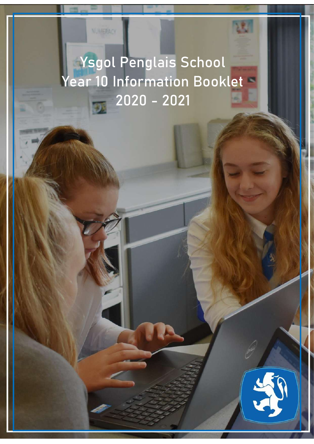# Ysgol Penglais School Year 10 Information Booklet  $-2020 - 2021$

**NUMBRACK** 

This booklet is aimed to provide parents with the relevant information about the relevant information about the Year 10 and to give you vital guidance regarding key pieces of work, homework guidance and

Please contact your Year Leader, Mrs Johnson, or the Student Support Services should you

**Vision and Values of Penglais School**

Ysgol Penglais is a happy, ambitious and high achieving school were every school were every school were every valued. We are a strong community where everyone care everyone care every only that only the care of the care only that only the care of the care of the care of the care of the care of the care of the care of the care of t  $t$  through collaboration and respect will we achieve and become our very best. The school is  $\mathcal{L}_\mathcal{S}$ vibrant with student and staff co-operating, learning, thing and working hard. We recognise  $t$  that overcoming challenges is key to success and by developing bravery, confidence and by developing bravery, confidence and by developing bravery, confidence and by developing  $\mathcal{L}$ resilience our students will become successful citizens of their communities, Wales and the

We will achieve the vision to the vision to the vision to the vision of the vision of the vision of the vision of the vision of the vision of the vision of the vision of the vision of the vision of the vision of the vision

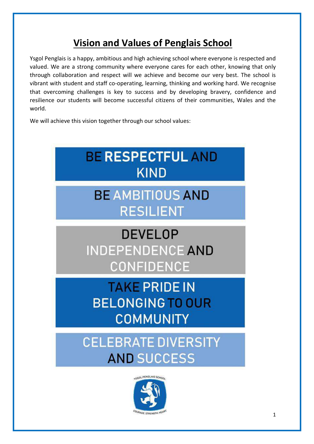# **Vision and Values of Penglais School**

Ysgol Penglais is a happy, ambitious and high achieving school where everyone is respected and valued. We are a strong community where everyone cares for each other, knowing that only through collaboration and respect will we achieve and become our very best. The school is vibrant with student and staff co-operating, learning, thinking and working hard. We recognise that overcoming challenges is key to success and by developing bravery, confidence and resilience our students will become successful citizens of their communities, Wales and the world.

We will achieve this vision together through our school values:



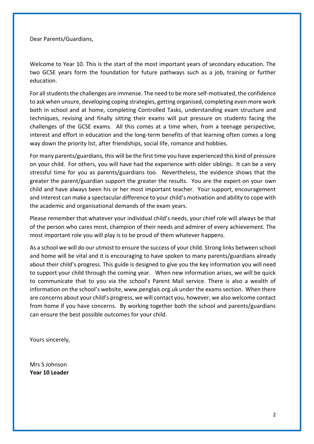Dear Parents/Guardians,

Welcome to Year 10. This is the start of the most important years of secondary education. The two GCSE years form the foundation for future pathways such as a job, training or further education.

For all students the challenges are immense. The need to be more self-motivated, the confidence to ask when unsure, developing coping strategies, getting organised, completing even more work both in school and at home, completing Controlled Tasks, understanding exam structure and techniques, revising and finally sitting their exams will put pressure on students facing the challenges of the GCSE exams. All this comes at a time when, from a teenage perspective, interest and effort in education and the long-term benefits of that learning often comes a long way down the priority list, after friendships, social life, romance and hobbies.

For many parents/guardians, this will be the first time you have experienced this kind of pressure on your child. For others, you will have had the experience with older siblings. It can be a very stressful time for you as parents/guardians too. Nevertheless, the evidence shows that the greater the parent/guardian support the greater the results. You are the expert on your own child and have always been his or her most important teacher. Your support, encouragement and interest can make a spectacular difference to your child's motivation and ability to cope with the academic and organisational demands of the exam years.

Please remember that whatever your individual child's needs, your chief role will always be that of the person who cares most, champion of their needs and admirer of every achievement. The most important role you will play is to be proud of them whatever happens.

As a school we will do our utmost to ensure the success of your child. Strong links between school and home will be vital and it is encouraging to have spoken to many parents/guardians already about their child's progress. This guide is designed to give you the key information you will need to support your child through the coming year. When new information arises, we will be quick to communicate that to you via the school's Parent Mail service. There is also a wealth of information on the school's website, www.penglais.org.uk under the exams section. When there are concerns about your child's progress, we will contact you, however, we also welcome contact from home if you have concerns. By working together both the school and parents/guardians can ensure the best possible outcomes for your child.

Yours sincerely,

Mrs S Johnson **Year 10 Leader**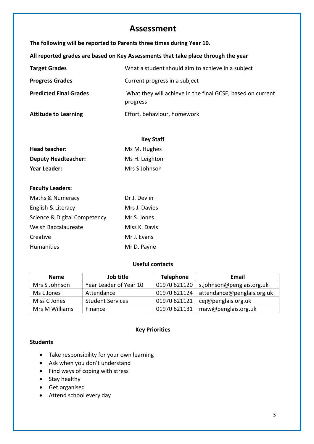### **Assessment**

**The following will be reported to Parents three times during Year 10. All reported grades are based on Key Assessments that take place through the year Target Grades** What a student should aim to achieve in a subject **Progress Grades** Current progress in a subject **Predicted Final Grades** What they will achieve in the final GCSE, based on current progress **Attitude to Learning** Effort, behaviour, homework

|                            | <b>Key Staff</b> |
|----------------------------|------------------|
| Head teacher:              | Ms M. Hughes     |
| <b>Deputy Headteacher:</b> | Ms H. Leighton   |
| Year Leader:               | Mrs S Johnson    |

### **Faculty Leaders:**

| Maths & Numeracy             | Dr J. Devlin  |
|------------------------------|---------------|
| English & Literacy           | Mrs J. Davies |
| Science & Digital Competency | Mr S. Jones   |
| Welsh Baccalaureate          | Miss K. Davis |
| Creative                     | Mr J. Evans   |
| <b>Humanities</b>            | Mr D. Payne   |

### **Useful contacts**

| <b>Name</b>    | Job title               | <b>Telephone</b> | Email                      |
|----------------|-------------------------|------------------|----------------------------|
| Mrs S Johnson  | Year Leader of Year 10  | 01970 621120     | s.johnson@penglais.org.uk  |
| Ms L Jones     | Attendance              | 01970 621124     | attendance@penglais.org.uk |
| Miss C Jones   | <b>Student Services</b> | 01970 621121     | cej@penglais.org.uk        |
| Mrs M Williams | Finance                 | 01970 621131     | maw@penglais.org.uk        |

### **Key Priorities**

### **Students**

- Take responsibility for your own learning
- Ask when you don't understand
- Find ways of coping with stress
- Stay healthy
- Get organised
- Attend school every day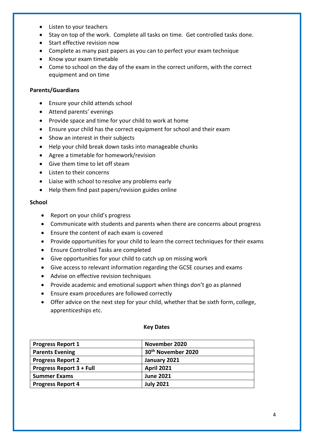- Listen to your teachers
- Stay on top of the work. Complete all tasks on time. Get controlled tasks done.
- Start effective revision now
- Complete as many past papers as you can to perfect your exam technique
- Know your exam timetable
- Come to school on the day of the exam in the correct uniform, with the correct equipment and on time

### **Parents/Guardians**

- Ensure your child attends school
- Attend parents' evenings
- Provide space and time for your child to work at home
- Ensure your child has the correct equipment for school and their exam
- Show an interest in their subjects
- Help your child break down tasks into manageable chunks
- Agree a timetable for homework/revision
- Give them time to let off steam
- Listen to their concerns
- Liaise with school to resolve any problems early
- Help them find past papers/revision guides online

#### **School**

- Report on your child's progress
- Communicate with students and parents when there are concerns about progress
- Ensure the content of each exam is covered
- Provide opportunities for your child to learn the correct techniques for their exams
- Ensure Controlled Tasks are completed
- Give opportunities for your child to catch up on missing work
- Give access to relevant information regarding the GCSE courses and exams
- Advise on effective revision techniques
- Provide academic and emotional support when things don't go as planned
- Ensure exam procedures are followed correctly
- Offer advice on the next step for your child, whether that be sixth form, college, apprenticeships etc.

| <b>Progress Report 1</b>        | November 2020                  |
|---------------------------------|--------------------------------|
| <b>Parents Evening</b>          | 30 <sup>th</sup> November 2020 |
| <b>Progress Report 2</b>        | January 2021                   |
| <b>Progress Report 3 + Full</b> | <b>April 2021</b>              |
| <b>Summer Exams</b>             | <b>June 2021</b>               |
| <b>Progress Report 4</b>        | <b>July 2021</b>               |

### **Key Dates**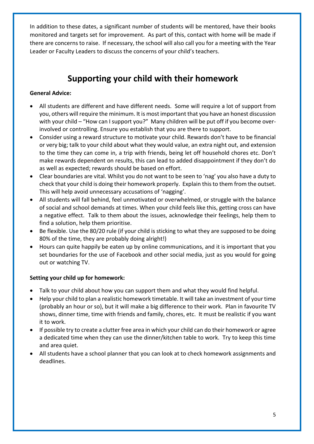In addition to these dates, a significant number of students will be mentored, have their books monitored and targets set for improvement. As part of this, contact with home will be made if there are concerns to raise. If necessary, the school will also call you for a meeting with the Year Leader or Faculty Leaders to discuss the concerns of your child's teachers.

# **Supporting your child with their homework**

### **General Advice:**

- All students are different and have different needs. Some will require a lot of support from you, others will require the minimum. It is most important that you have an honest discussion with your child – "How can I support you?" Many children will be put off if you become overinvolved or controlling. Ensure you establish that you are there to support.
- Consider using a reward structure to motivate your child. Rewards don't have to be financial or very big; talk to your child about what they would value, an extra night out, and extension to the time they can come in, a trip with friends, being let off household chores etc. Don't make rewards dependent on results, this can lead to added disappointment if they don't do as well as expected; rewards should be based on effort.
- Clear boundaries are vital. Whilst you do not want to be seen to 'nag' you also have a duty to check that your child is doing their homework properly. Explain this to them from the outset. This will help avoid unnecessary accusations of 'nagging'.
- All students will fall behind, feel unmotivated or overwhelmed, or struggle with the balance of social and school demands at times. When your child feels like this, getting cross can have a negative effect. Talk to them about the issues, acknowledge their feelings, help them to find a solution, help them prioritise.
- Be flexible. Use the 80/20 rule (if your child is sticking to what they are supposed to be doing 80% of the time, they are probably doing alright!)
- Hours can quite happily be eaten up by online communications, and it is important that you set boundaries for the use of Facebook and other social media, just as you would for going out or watching TV.

### **Setting your child up for homework:**

- Talk to your child about how you can support them and what they would find helpful.
- Help your child to plan a realistic homework timetable. It will take an investment of your time (probably an hour or so), but it will make a big difference to their work. Plan in favourite TV shows, dinner time, time with friends and family, chores, etc. It must be realistic if you want it to work.
- If possible try to create a clutter free area in which your child can do their homework or agree a dedicated time when they can use the dinner/kitchen table to work. Try to keep this time and area quiet.
- All students have a school planner that you can look at to check homework assignments and deadlines.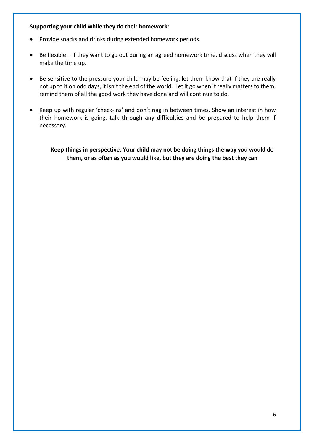### **Supporting your child while they do their homework:**

- Provide snacks and drinks during extended homework periods.
- Be flexible if they want to go out during an agreed homework time, discuss when they will make the time up.
- Be sensitive to the pressure your child may be feeling, let them know that if they are really not up to it on odd days, it isn't the end of the world. Let it go when it really matters to them, remind them of all the good work they have done and will continue to do.
- Keep up with regular 'check-ins' and don't nag in between times. Show an interest in how their homework is going, talk through any difficulties and be prepared to help them if necessary.

**Keep things in perspective. Your child may not be doing things the way you would do them, or as often as you would like, but they are doing the best they can**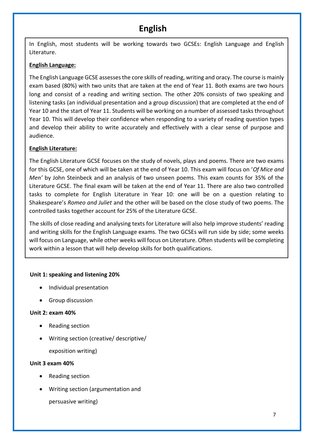# **English**

In English, most students will be working towards two GCSEs: English Language and English Literature.

### **English Language:**

The English Language GCSE assesses the core skills of reading, writing and oracy. The course is mainly exam based (80%) with two units that are taken at the end of Year 11. Both exams are two hours long and consist of a reading and writing section. The other 20% consists of two speaking and listening tasks (an individual presentation and a group discussion) that are completed at the end of Year 10 and the start of Year 11. Students will be working on a number of assessed tasks throughout Year 10. This will develop their confidence when responding to a variety of reading question types and develop their ability to write accurately and effectively with a clear sense of purpose and audience.

### **English Literature:**

The English Literature GCSE focuses on the study of novels, plays and poems. There are two exams for this GCSE, one of which will be taken at the end of Year 10. This exam will focus on '*Of Mice and Men'* by John Steinbeck and an analysis of two unseen poems. This exam counts for 35% of the Literature GCSE. The final exam will be taken at the end of Year 11. There are also two controlled tasks to complete for English Literature in Year 10: one will be on a question relating to Shakespeare's *Romeo and Juliet* and the other will be based on the close study of two poems. The controlled tasks together account for 25% of the Literature GCSE.

The skills of close reading and analysing texts for Literature will also help improve students' reading and writing skills for the English Language exams. The two GCSEs will run side by side; some weeks will focus on Language, while other weeks will focus on Literature. Often students will be completing work within a lesson that will help develop skills for both qualifications.

### **Unit 1: speaking and listening 20%**

- Individual presentation
- Group discussion

### **Unit 2: exam 40%**

- Reading section
- Writing section (creative/ descriptive/

exposition writing)

### **Unit 3 exam 40%**

- Reading section
- Writing section (argumentation and

persuasive writing)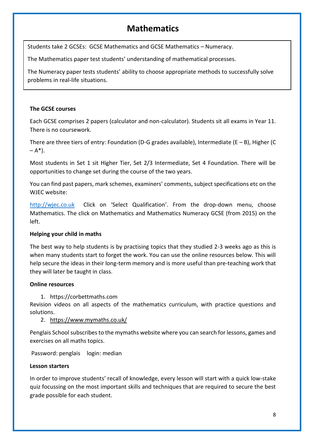# **Mathematics**

Students take 2 GCSEs: GCSE Mathematics and GCSE Mathematics – Numeracy.

The Mathematics paper test students' understanding of mathematical processes.

The Numeracy paper tests students' ability to choose appropriate methods to successfully solve problems in real-life situations.

### **The GCSE courses**

Each GCSE comprises 2 papers (calculator and non-calculator). Students sit all exams in Year 11. There is no coursework.

There are three tiers of entry: Foundation (D-G grades available), Intermediate (E – B), Higher (C  $(-A^*)$ .

Most students in Set 1 sit Higher Tier, Set 2/3 Intermediate, Set 4 Foundation. There will be opportunities to change set during the course of the two years.

You can find past papers, mark schemes, examiners' comments, subject specifications etc on the WJEC website:

[http://wjec.co.uk](http://wjec.co.uk/) Click on 'Select Qualification'. From the drop-down menu, choose Mathematics. The click on Mathematics and Mathematics Numeracy GCSE (from 2015) on the left.

### **Helping your child in maths**

The best way to help students is by practising topics that they studied 2-3 weeks ago as this is when many students start to forget the work. You can use the online resources below. This will help secure the ideas in their long-term memory and is more useful than pre-teaching work that they will later be taught in class.

### **Online resources**

1. https://corbettmaths.com

Revision videos on all aspects of the mathematics curriculum, with practice questions and solutions.

### 2. <https://www.mymaths.co.uk/>

Penglais School subscribes to the mymaths website where you can search for lessons, games and exercises on all maths topics.

Password: penglais login: median

### **Lesson starters**

In order to improve students' recall of knowledge, every lesson will start with a quick low-stake quiz focussing on the most important skills and techniques that are required to secure the best grade possible for each student.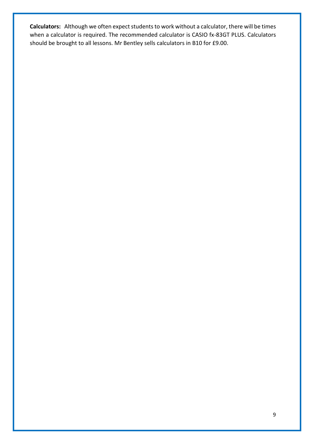**Calculators:** Although we often expect students to work without a calculator, there will be times when a calculator is required. The recommended calculator is CASIO fx-83GT PLUS. Calculators should be brought to all lessons. Mr Bentley sells calculators in B10 for £9.00.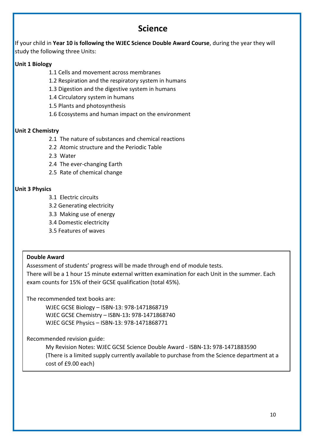### **Science**

If your child in **Year 10 is following the WJEC Science Double Award Course**, during the year they will study the following three Units:

### **Unit 1 Biology**

- 1.1 Cells and movement across membranes
- 1.2 Respiration and the respiratory system in humans
- 1.3 Digestion and the digestive system in humans
- 1.4 Circulatory system in humans
- 1.5 Plants and photosynthesis
- 1.6 Ecosystems and human impact on the environment

### **Unit 2 Chemistry**

- 2.1 The nature of substances and chemical reactions
- 2.2 Atomic structure and the Periodic Table
- 2.3 Water
- 2.4 The ever-changing Earth
- 2.5 Rate of chemical change

### **Unit 3 Physics**

- 3.1 Electric circuits
- 3.2 Generating electricity
- 3.3 Making use of energy
- 3.4 Domestic electricity
- 3.5 Features of waves

### **Double Award**

Assessment of students' progress will be made through end of module tests. There will be a 1 hour 15 minute external written examination for each Unit in the summer. Each exam counts for 15% of their GCSE qualification (total 45%).

The recommended text books are:

WJEC GCSE Biology – ISBN-13: 978-1471868719 WJEC GCSE Chemistry – ISBN-13**:** 978-1471868740 WJEC GCSE Physics – ISBN-13: 978-1471868771

Recommended revision guide:

My Revision Notes: WJEC GCSE Science Double Award - ISBN-13**:** 978-1471883590 (There is a limited supply currently available to purchase from the Science department at a cost of £9.00 each)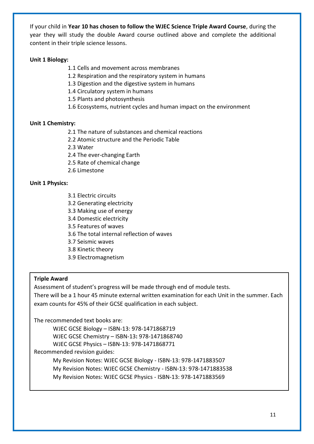If your child in **Year 10 has chosen to follow the WJEC Science Triple Award Course**, during the year they will study the double Award course outlined above and complete the additional content in their triple science lessons.

### **Unit 1 Biology:**

- 1.1 Cells and movement across membranes
- 1.2 Respiration and the respiratory system in humans
- 1.3 Digestion and the digestive system in humans
- 1.4 Circulatory system in humans
- 1.5 Plants and photosynthesis
- 1.6 Ecosystems, nutrient cycles and human impact on the environment

### **Unit 1 Chemistry:**

- 2.1 The nature of substances and chemical reactions
- 2.2 Atomic structure and the Periodic Table
- 2.3 Water
- 2.4 The ever-changing Earth
- 2.5 Rate of chemical change
- 2.6 Limestone

### **Unit 1 Physics:**

- 3.1 Electric circuits
- 3.2 Generating electricity
- 3.3 Making use of energy
- 3.4 Domestic electricity
- 3.5 Features of waves
- 3.6 The total internal reflection of waves
- 3.7 Seismic waves
- 3.8 Kinetic theory
- 3.9 Electromagnetism

### **Triple Award**

Assessment of student's progress will be made through end of module tests.

There will be a 1 hour 45 minute external written examination for each Unit in the summer. Each exam counts for 45% of their GCSE qualification in each subject.

The recommended text books are:

WJEC GCSE Biology – ISBN-13: 978-1471868719 WJEC GCSE Chemistry – ISBN-13**:** 978-1471868740 WJEC GCSE Physics – ISBN-13: 978-1471868771 Recommended revision guides: My Revision Notes: WJEC GCSE Biology - ISBN-13: 978-1471883507

My Revision Notes: WJEC GCSE Chemistry - ISBN-13: 978-1471883538

My Revision Notes: WJEC GCSE Physics - ISBN-13: 978-1471883569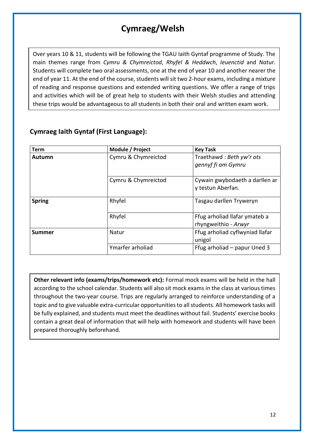# **Cymraeg/Welsh**

Over years 10 & 11, students will be following the TGAU Iaith Gyntaf programme of Study. The main themes range from *Cymru & Chymreictod*, *Rhyfel & Heddwch*, *Ieuenctid* and *Natur*. Students will complete two oral assessments, one at the end of year 10 and another nearer the end of year 11. At the end of the course, students will sit two 2-hour exams, including a mixture of reading and response questions and extended writing questions. We offer a range of trips and activities which will be of great help to students with their Welsh studies and attending these trips would be advantageous to all students in both their oral and written exam work.

| <b>Term</b>   | Module / Project    | <b>Key Task</b>                                       |  |
|---------------|---------------------|-------------------------------------------------------|--|
| Autumn        | Cymru & Chymreictod | Traethawd: Beth yw'r ots<br>gennyf fi am Gymru        |  |
|               | Cymru & Chymreictod | Cywain gwybodaeth a darllen ar<br>y testun Aberfan.   |  |
| <b>Spring</b> | Rhyfel              | Tasgau darllen Tryweryn                               |  |
|               | Rhyfel              | Ffug arholiad llafar ymateb a<br>rhyngweithio - Arwyr |  |
| Summer        | Natur               | Ffug arholiad cyflwyniad llafar<br>unigol             |  |
|               | Ymarfer arholiad    | Ffug arholiad – papur Uned 3                          |  |

### **Cymraeg Iaith Gyntaf (First Language):**

**Other relevant info (exams/trips/homework etc):** Formal mock exams will be held in the hall according to the school calendar. Students will also sit mock exams in the class at various times throughout the two-year course. Trips are regularly arranged to reinforce understanding of a topic and to give valuable extra-curricular opportunities to all students. All homework tasks will be fully explained, and students must meet the deadlines without fail. Students' exercise books contain a great deal of information that will help with homework and students will have been prepared thoroughly beforehand.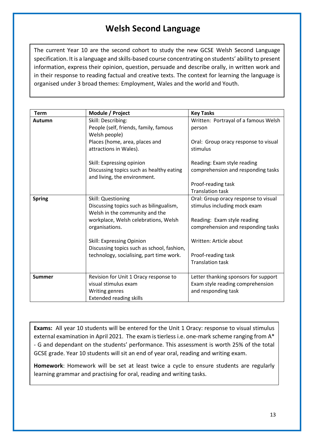# **Welsh Second Language**

The current Year 10 are the second cohort to study the new GCSE Welsh Second Language specification. It is a language and skills-based course concentrating on students' ability to present information, express their opinion, question, persuade and describe orally, in written work and in their response to reading factual and creative texts. The context for learning the language is organised under 3 broad themes: Employment, Wales and the world and Youth.

| <b>Term</b>   | Module / Project                                                                                                                                          | <b>Key Tasks</b>                                                                                                                          |
|---------------|-----------------------------------------------------------------------------------------------------------------------------------------------------------|-------------------------------------------------------------------------------------------------------------------------------------------|
| Autumn        | Skill: Describing:<br>People (self, friends, family, famous<br>Welsh people)<br>Places (home, area, places and                                            | Written: Portrayal of a famous Welsh<br>person<br>Oral: Group oracy response to visual                                                    |
|               | attractions in Wales).                                                                                                                                    | stimulus                                                                                                                                  |
|               | Skill: Expressing opinion<br>Discussing topics such as healthy eating<br>and living, the environment.                                                     | Reading: Exam style reading<br>comprehension and responding tasks                                                                         |
|               |                                                                                                                                                           | Proof-reading task<br><b>Translation task</b>                                                                                             |
| <b>Spring</b> | Skill: Questioning<br>Discussing topics such as bilingualism,<br>Welsh in the community and the<br>workplace, Welsh celebrations, Welsh<br>organisations. | Oral: Group oracy response to visual<br>stimulus including mock exam<br>Reading: Exam style reading<br>comprehension and responding tasks |
|               | Skill: Expressing Opinion<br>Discussing topics such as school, fashion,<br>technology, socialising, part time work.                                       | Written: Article about<br>Proof-reading task<br><b>Translation task</b>                                                                   |
| <b>Summer</b> | Revision for Unit 1 Oracy response to<br>visual stimulus exam<br>Writing genres<br><b>Extended reading skills</b>                                         | Letter thanking sponsors for support<br>Exam style reading comprehension<br>and responding task                                           |

**Exams:** All year 10 students will be entered for the Unit 1 Oracy: response to visual stimulus external examination in April 2021. The exam is tierless i.e. one-mark scheme ranging from A\* - G and dependant on the students' performance. This assessment is worth 25% of the total GCSE grade. Year 10 students will sit an end of year oral, reading and writing exam.

**Homework**: Homework will be set at least twice a cycle to ensure students are regularly learning grammar and practising for oral, reading and writing tasks.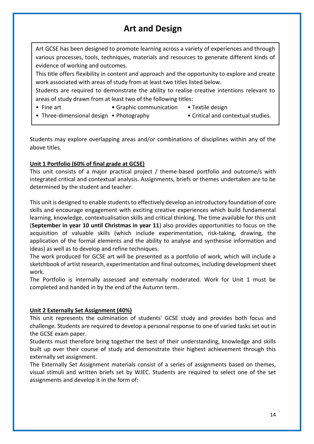# **Art and Design**

Art GCSE has been designed to promote learning across a variety of experiences and through various processes, tools, techniques, materials and resources to generate different kinds of evidence of working and outcomes.

This title offers flexibility in content and approach and the opportunity to explore and create work associated with areas of study from at least two titles listed below.

Students are required to demonstrate the ability to realise creative intentions relevant to areas of study drawn from at least two of the following titles:

- 
- Fine art **•** Graphic communication Textile design
- Three-dimensional design Photography Critical and contextual studies.

Students may explore overlapping areas and/or combinations of disciplines within any of the above titles.

### **Unit 1 Portfolio (60% of final grade at GCSE)**

This unit consists of a major practical project / theme-based portfolio and outcome/s with integrated critical and contextual analysis. Assignments, briefs or themes undertaken are to be determined by the student and teacher.

This unit is designed to enable students to effectively develop an introductory foundation of core skills and encourage engagement with exciting creative experiences which build fundamental learning, knowledge, contextualisation skills and critical thinking. The time available for this unit (**September in year 10 until Christmas in year 11**) also provides opportunities to focus on the acquisition of valuable skills (which include experimentation, risk-taking, drawing, the application of the formal elements and the ability to analyse and synthesise information and ideas) as well as to develop and refine techniques.

The work produced for GCSE art will be presented as a portfolio of work, which will include a sketchbook of artist research, experimentation and final outcomes, including development sheet work.

The Portfolio is internally assessed and externally moderated. Work for Unit 1 must be completed and handed in by the end of the Autumn term.

### **Unit 2 Externally Set Assignment (40%)**

This unit represents the culmination of students' GCSE study and provides both focus and challenge. Students are required to develop a personal response to one of varied tasks set out in the GCSE exam paper.

Students must therefore bring together the best of their understanding, knowledge and skills built up over their course of study and demonstrate their highest achievement through this externally set assignment.

The Externally Set Assignment materials consist of a series of assignments based on themes, visual stimuli and written briefs set by WJEC. Students are required to select one of the set assignments and develop it in the form of: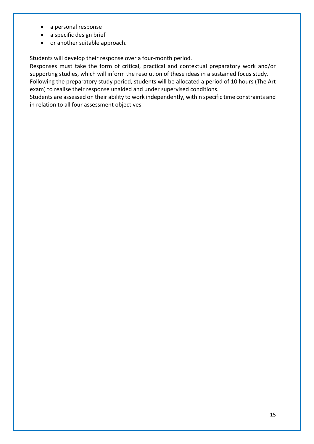- a personal response
- a specific design brief
- or another suitable approach.

Students will develop their response over a four-month period.

Responses must take the form of critical, practical and contextual preparatory work and/or supporting studies, which will inform the resolution of these ideas in a sustained focus study. Following the preparatory study period, students will be allocated a period of 10 hours (The Art exam) to realise their response unaided and under supervised conditions.

Students are assessed on their ability to work independently, within specific time constraints and in relation to all four assessment objectives.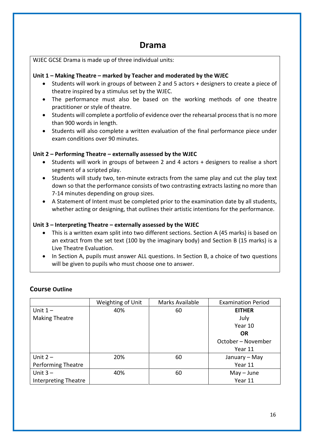### **Drama**

WJEC GCSE Drama is made up of three individual units:

### **Unit 1 – Making Theatre – marked by Teacher and moderated by the WJEC**

- Students will work in groups of between 2 and 5 actors + designers to create a piece of theatre inspired by a stimulus set by the WJEC.
- The performance must also be based on the working methods of one theatre practitioner or style of theatre.
- Students will complete a portfolio of evidence over the rehearsal process that is no more than 900 words in length.
- Students will also complete a written evaluation of the final performance piece under exam conditions over 90 minutes.

### **Unit 2 – Performing Theatre – externally assessed by the WJEC**

- Students will work in groups of between 2 and 4 actors + designers to realise a short segment of a scripted play.
- Students will study two, ten-minute extracts from the same play and cut the play text down so that the performance consists of two contrasting extracts lasting no more than 7-14 minutes depending on group sizes.
- A Statement of Intent must be completed prior to the examination date by all students, whether acting or designing, that outlines their artistic intentions for the performance.

### **Unit 3 – Interpreting Theatre – externally assessed by the WJEC**

- This is a written exam split into two different sections. Section A (45 marks) is based on an extract from the set text (100 by the imaginary body) and Section B (15 marks) is a Live Theatre Evaluation.
- In Section A, pupils must answer ALL questions. In Section B, a choice of two questions will be given to pupils who must choose one to answer.

### **Course Outline**

|                             | Weighting of Unit | Marks Available | <b>Examination Period</b> |
|-----------------------------|-------------------|-----------------|---------------------------|
| Unit $1 -$                  | 40%               | 60              | <b>EITHER</b>             |
| <b>Making Theatre</b>       |                   |                 | July                      |
|                             |                   |                 | Year 10                   |
|                             |                   |                 | <b>OR</b>                 |
|                             |                   |                 | October - November        |
|                             |                   |                 | Year 11                   |
| Unit $2 -$                  | 20%               | 60              | January - May             |
| <b>Performing Theatre</b>   |                   |                 | Year 11                   |
| Unit $3 -$                  | 40%               | 60              | $May - June$              |
| <b>Interpreting Theatre</b> |                   |                 | Year 11                   |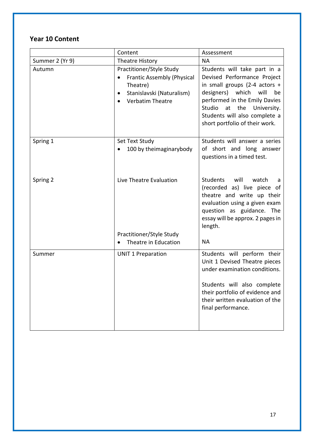### **Year 10 Content**

|                 | Content                                                                                                                                                     | Assessment                                                                                                                                                                                                                                                              |
|-----------------|-------------------------------------------------------------------------------------------------------------------------------------------------------------|-------------------------------------------------------------------------------------------------------------------------------------------------------------------------------------------------------------------------------------------------------------------------|
| Summer 2 (Yr 9) | Theatre History                                                                                                                                             | <b>NA</b>                                                                                                                                                                                                                                                               |
| Autumn          | Practitioner/Style Study<br><b>Frantic Assembly (Physical</b><br>Theatre)<br>Stanislavski (Naturalism)<br>$\bullet$<br><b>Verbatim Theatre</b><br>$\bullet$ | Students will take part in a<br>Devised Performance Project<br>in small groups (2-4 actors $+$<br>designers) which will<br>be<br>performed in the Emily Davies<br>Studio<br>at<br>the<br>University.<br>Students will also complete a<br>short portfolio of their work. |
| Spring 1        | Set Text Study<br>100 by theimaginarybody<br>$\bullet$                                                                                                      | Students will answer a series<br>of short and long answer<br>questions in a timed test.                                                                                                                                                                                 |
| Spring 2        | Live Theatre Evaluation                                                                                                                                     | Students<br>will<br>watch<br>a<br>(recorded as) live piece of<br>theatre and write up their<br>evaluation using a given exam<br>question as guidance. The<br>essay will be approx. 2 pages in<br>length.                                                                |
|                 | Practitioner/Style Study                                                                                                                                    |                                                                                                                                                                                                                                                                         |
|                 | Theatre in Education                                                                                                                                        | <b>NA</b>                                                                                                                                                                                                                                                               |
| Summer          | <b>UNIT 1 Preparation</b>                                                                                                                                   | Students will perform their<br>Unit 1 Devised Theatre pieces<br>under examination conditions.<br>Students will also complete<br>their portfolio of evidence and<br>their written evaluation of the<br>final performance.                                                |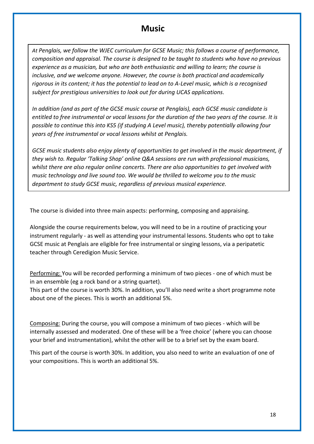### **Music**

*At Penglais, we follow the WJEC curriculum for GCSE Music; this follows a course of performance, composition and appraisal. The course is designed to be taught to students who have no previous experience as a musician, but who are both enthusiastic and willing to learn; the course is inclusive, and we welcome anyone. However, the course is both practical and academically rigorous in its content; it has the potential to lead on to A-Level music, which is a recognised subject for prestigious universities to look out for during UCAS applications.*

*In addition (and as part of the GCSE music course at Penglais), each GCSE music candidate is entitled to free instrumental or vocal lessons for the duration of the two years of the course. It is possible to continue this into KS5 (if studying A Level music), thereby potentially allowing four years of free instrumental or vocal lessons whilst at Penglais.* 

*GCSE music students also enjoy plenty of opportunities to get involved in the music department, if they wish to. Regular 'Talking Shop' online Q&A sessions are run with professional musicians, whilst there are also regular online concerts. There are also opportunities to get involved with music technology and live sound too. We would be thrilled to welcome you to the music department to study GCSE music, regardless of previous musical experience.* 

The course is divided into three main aspects: performing, composing and appraising.

Alongside the course requirements below, you will need to be in a routine of practicing your instrument regularly - as well as attending your instrumental lessons. Students who opt to take GCSE music at Penglais are eligible for free instrumental or singing lessons, via a peripatetic teacher through Ceredigion Music Service.

Performing: You will be recorded performing a minimum of two pieces - one of which must be in an ensemble (eg a rock band or a string quartet).

This part of the course is worth 30%. In addition, you'll also need write a short programme note about one of the pieces. This is worth an additional 5%.

Composing: During the course, you will compose a minimum of two pieces - which will be internally assessed and moderated. One of these will be a 'free choice' (where you can choose your brief and instrumentation), whilst the other will be to a brief set by the exam board.

This part of the course is worth 30%. In addition, you also need to write an evaluation of one of your compositions. This is worth an additional 5%.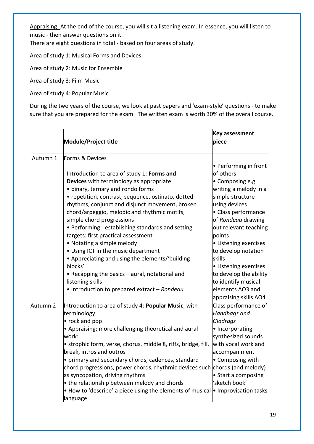Appraising: At the end of the course, you will sit a listening exam. In essence, you will listen to music - then answer questions on it.

There are eight questions in total - based on four areas of study.

Area of study 1: Musical Forms and Devices

Area of study 2: Music for Ensemble

Area of study 3: Film Music

Area of study 4: Popular Music

During the two years of the course, we look at past papers and 'exam-style' questions - to make sure that you are prepared for the exam. The written exam is worth 30% of the overall course.

|          |                                                                             | <b>Key assessment</b>  |  |
|----------|-----------------------------------------------------------------------------|------------------------|--|
|          | Module/Project title                                                        | piece                  |  |
|          |                                                                             |                        |  |
| Autumn 1 | Forms & Devices                                                             |                        |  |
|          |                                                                             | • Performing in front  |  |
|          | Introduction to area of study 1: Forms and                                  | of others              |  |
|          | Devices with terminology as appropriate:                                    | • Composing e.g.       |  |
|          | • binary, ternary and rondo forms                                           | writing a melody in a  |  |
|          | • repetition, contrast, sequence, ostinato, dotted                          | simple structure       |  |
|          | rhythms, conjunct and disjunct movement, broken                             | using devices          |  |
|          | chord/arpeggio, melodic and rhythmic motifs,                                | • Class performance    |  |
|          | simple chord progressions                                                   | of Rondeau drawing     |  |
|          | · Performing - establishing standards and setting                           | out relevant teaching  |  |
|          | targets: first practical assessment                                         | points                 |  |
|          | • Notating a simple melody                                                  | • Listening exercises  |  |
|          | • Using ICT in the music department                                         | to develop notation    |  |
|          | • Appreciating and using the elements/'building                             | skills                 |  |
|          | blocks'                                                                     | • Listening exercises  |  |
|          | • Recapping the basics - aural, notational and                              | to develop the ability |  |
|          | listening skills                                                            | to identify musical    |  |
|          | • Introduction to prepared extract - Rondeau.                               | elements AO3 and       |  |
|          |                                                                             | appraising skills AO4  |  |
| Autumn 2 | Introduction to area of study 4: Popular Music, with                        | Class performance of   |  |
|          | terminology:                                                                | Handbags and           |  |
|          | • rock and pop                                                              | Gladrags               |  |
|          | • Appraising; more challenging theoretical and aural                        | • Incorporating        |  |
|          | work:                                                                       | synthesized sounds     |  |
|          | · strophic form, verse, chorus, middle 8, riffs, bridge, fill,              | with vocal work and    |  |
|          | break, intros and outros                                                    | accompaniment          |  |
|          | • primary and secondary chords, cadences, standard                          | • Composing with       |  |
|          | chord progressions, power chords, rhythmic devices such chords (and melody) |                        |  |
|          | as syncopation, driving rhythms                                             | • Start a composing    |  |
|          | • the relationship between melody and chords                                | 'sketch book'          |  |
|          | • How to 'describe' a piece using the elements of musical                   | • Improvisation tasks  |  |
|          | language                                                                    |                        |  |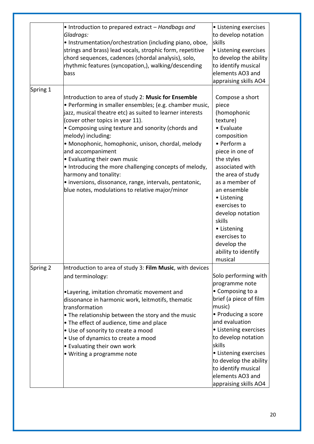|          | • Introduction to prepared extract – Handbags and<br>Gladrags:<br>. Instrumentation/orchestration (including piano, oboe,<br>strings and brass) lead vocals, strophic form, repetitive<br>chord sequences, cadences (chordal analysis), solo,<br>rhythmic features (syncopation,), walking/descending<br>bass                                                                                                                                                                                                                                                                                          | • Listening exercises<br>to develop notation<br>skills<br>• Listening exercises<br>to develop the ability<br>to identify musical<br>elements AO3 and<br>appraising skills AO4                                                                                                                                                                          |
|----------|--------------------------------------------------------------------------------------------------------------------------------------------------------------------------------------------------------------------------------------------------------------------------------------------------------------------------------------------------------------------------------------------------------------------------------------------------------------------------------------------------------------------------------------------------------------------------------------------------------|--------------------------------------------------------------------------------------------------------------------------------------------------------------------------------------------------------------------------------------------------------------------------------------------------------------------------------------------------------|
| Spring 1 | Introduction to area of study 2: Music for Ensemble<br>· Performing in smaller ensembles; (e.g. chamber music,<br>jazz, musical theatre etc) as suited to learner interests<br>(cover other topics in year 11).<br>• Composing using texture and sonority (chords and<br>melody) including:<br>• Monophonic, homophonic, unison, chordal, melody<br>and accompaniment<br>• Evaluating their own music<br>• Introducing the more challenging concepts of melody,<br>harmony and tonality:<br>· inversions, dissonance, range, intervals, pentatonic,<br>blue notes, modulations to relative major/minor | Compose a short<br>piece<br>(homophonic<br>texture)<br>• Evaluate<br>composition<br>• Perform a<br>piece in one of<br>the styles<br>associated with<br>the area of study<br>as a member of<br>an ensemble<br>• Listening<br>exercises to<br>develop notation<br>skills<br>• Listening<br>exercises to<br>develop the<br>ability to identify<br>musical |
| Spring 2 | Introduction to area of study 3: Film Music, with devices                                                                                                                                                                                                                                                                                                                                                                                                                                                                                                                                              |                                                                                                                                                                                                                                                                                                                                                        |
|          | and terminology:<br>.Layering, imitation chromatic movement and<br>dissonance in harmonic work, leitmotifs, thematic<br><b>transformation</b><br>$\bullet$ The relationship between the story and the music<br>• The effect of audience, time and place<br>• Use of sonority to create a mood<br>• Use of dynamics to create a mood<br>• Evaluating their own work<br>• Writing a programme note                                                                                                                                                                                                       | Solo performing with<br>programme note<br>• Composing to a<br>brief (a piece of film<br>music)<br>• Producing a score<br>and evaluation<br>• Listening exercises<br>to develop notation<br>skills<br>• Listening exercises<br>to develop the ability<br>to identify musical<br>elements AO3 and<br>appraising skills AO4                               |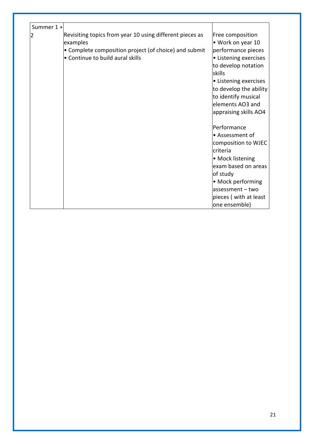| Summer 1 + |                                                          |                        |
|------------|----------------------------------------------------------|------------------------|
|            |                                                          |                        |
|            | Revisiting topics from year 10 using different pieces as | Free composition       |
|            | examples                                                 | • Work on year 10      |
|            | • Complete composition project (of choice) and submit    | performance pieces     |
|            | • Continue to build aural skills                         | • Listening exercises  |
|            |                                                          | to develop notation    |
|            |                                                          | skills                 |
|            |                                                          | • Listening exercises  |
|            |                                                          | to develop the ability |
|            |                                                          | to identify musical    |
|            |                                                          | elements AO3 and       |
|            |                                                          | appraising skills AO4  |
|            |                                                          |                        |
|            |                                                          | Performance            |
|            |                                                          | • Assessment of        |
|            |                                                          | composition to WJEC    |
|            |                                                          | criteria               |
|            |                                                          | • Mock listening       |
|            |                                                          | exam based on areas    |
|            |                                                          | of study               |
|            |                                                          | • Mock performing      |
|            |                                                          | $assessment - two$     |
|            |                                                          | pieces (with at least  |
|            |                                                          |                        |
|            |                                                          | one ensemble)          |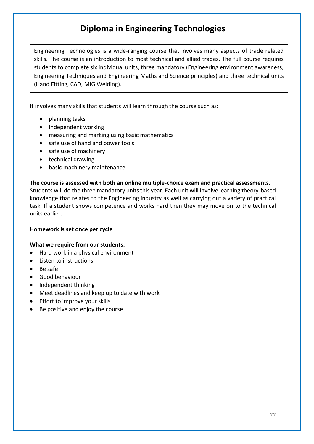# **Diploma in Engineering Technologies**

Engineering Technologies is a wide-ranging course that involves many aspects of trade related skills. The course is an introduction to most technical and allied trades. The full course requires students to complete six individual units, three mandatory (Engineering environment awareness, Engineering Techniques and Engineering Maths and Science principles) and three technical units (Hand Fitting, CAD, MIG Welding).

It involves many skills that students will learn through the course such as:

- planning tasks
- independent working
- measuring and marking using basic mathematics
- safe use of hand and power tools
- safe use of machinery
- technical drawing
- basic machinery maintenance

**The course is assessed with both an online multiple-choice exam and practical assessments.** Students will do the three mandatory units this year. Each unit will involve learning theory-based knowledge that relates to the Engineering industry as well as carrying out a variety of practical task. If a student shows competence and works hard then they may move on to the technical units earlier.

### **Homework is set once per cycle**

### **What we require from our students:**

- Hard work in a physical environment
- Listen to instructions
- Be safe
- Good behaviour
- Independent thinking
- Meet deadlines and keep up to date with work
- Effort to improve your skills
- Be positive and enjoy the course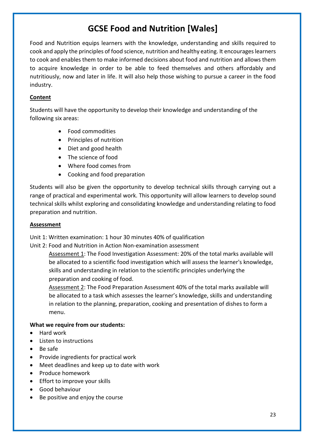# **GCSE Food and Nutrition [Wales]**

Food and Nutrition equips learners with the knowledge, understanding and skills required to cook and apply the principles of food science, nutrition and healthy eating. It encourages learners to cook and enables them to make informed decisions about food and nutrition and allows them to acquire knowledge in order to be able to feed themselves and others affordably and nutritiously, now and later in life. It will also help those wishing to pursue a career in the food industry.

### **Content**

Students will have the opportunity to develop their knowledge and understanding of the following six areas:

- Food commodities
- Principles of nutrition
- Diet and good health
- The science of food
- Where food comes from
- Cooking and food preparation

Students will also be given the opportunity to develop technical skills through carrying out a range of practical and experimental work. This opportunity will allow learners to develop sound technical skills whilst exploring and consolidating knowledge and understanding relating to food preparation and nutrition.

#### **Assessment**

Unit 1: Written examination: 1 hour 30 minutes 40% of qualification

Unit 2: Food and Nutrition in Action Non-examination assessment

Assessment 1: The Food Investigation Assessment: 20% of the total marks available will be allocated to a scientific food investigation which will assess the learner's knowledge, skills and understanding in relation to the scientific principles underlying the preparation and cooking of food.

Assessment 2: The Food Preparation Assessment 40% of the total marks available will be allocated to a task which assesses the learner's knowledge, skills and understanding in relation to the planning, preparation, cooking and presentation of dishes to form a menu.

### **What we require from our students:**

- Hard work
- Listen to instructions
- Be safe
- Provide ingredients for practical work
- Meet deadlines and keep up to date with work
- Produce homework
- Effort to improve your skills
- Good behaviour
- Be positive and enjoy the course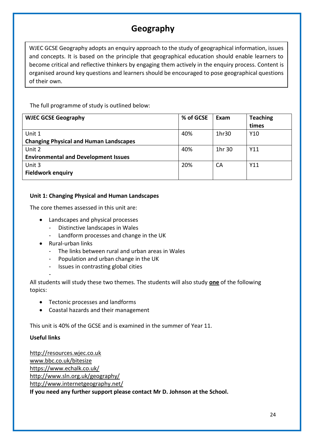# **Geography**

WJEC GCSE Geography adopts an enquiry approach to the study of geographical information, issues and concepts. It is based on the principle that geographical education should enable learners to become critical and reflective thinkers by engaging them actively in the enquiry process. Content is organised around key questions and learners should be encouraged to pose geographical questions of their own.

The full programme of study is outlined below:

| <b>WJEC GCSE Geography</b>                    | % of GCSE | Exam   | <b>Teaching</b> |
|-----------------------------------------------|-----------|--------|-----------------|
|                                               |           |        | times           |
| Unit 1                                        | 40%       | 1hr30  | Y10             |
| <b>Changing Physical and Human Landscapes</b> |           |        |                 |
| Unit 2                                        | 40%       | 1hr 30 | Y11             |
| <b>Environmental and Development Issues</b>   |           |        |                 |
| Unit 3                                        | 20%       | CA     | Y11             |
| <b>Fieldwork enquiry</b>                      |           |        |                 |

### **Unit 1: Changing Physical and Human Landscapes**

The core themes assessed in this unit are:

- Landscapes and physical processes
	- Distinctive landscapes in Wales
	- Landform processes and change in the UK
- Rural-urban links
	- The links between rural and urban areas in Wales
	- Population and urban change in the UK
	- Issues in contrasting global cities

All students will study these two themes. The students will also study **one** of the following topics:

- Tectonic processes and landforms
- Coastal hazards and their management

This unit is 40% of the GCSE and is examined in the summer of Year 11.

### **Useful links**

-

[http://resources.wjec.co.uk](http://resources.wjec.co.uk/) [www.bbc.co.uk/bitesize](http://www.bbc.co.uk/bitesize) <https://www.echalk.co.uk/> <http://www.sln.org.uk/geography/> <http://www.internetgeography.net/> **If you need any further support please contact Mr D. Johnson at the School.**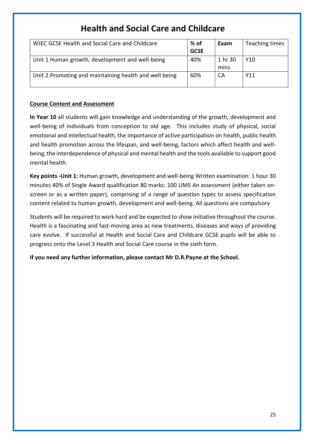# **Health and Social Care and Childcare**

| WJEC GCSE Health and Social Care and Childcare         | % of        | Exam            | Teaching times |
|--------------------------------------------------------|-------------|-----------------|----------------|
|                                                        | <b>GCSE</b> |                 |                |
| Unit 1 Human growth, development and well-being        | 40%         | 1 hr 30<br>mins | Y10            |
| Unit 2 Promoting and maintaining health and well being | 60%         | СA              | Y11            |

### **Course Content and Assessment**

**In Year 10** all students will gain knowledge and understanding of the growth, development and well-being of individuals from conception to old age. This includes study of physical, social emotional and intellectual health, the importance of active participation on health, public health and health promotion across the lifespan, and well-being, factors which affect health and wellbeing, the interdependence of physical and mental health and the tools available to support good mental health.

**Key points -Unit 1:** Human growth, development and well-being Written examination: 1 hour 30 minutes 40% of Single Award qualification 80 marks: 100 UMS An assessment (either taken onscreen or as a written paper), comprising of a range of question types to assess specification content related to human growth, development and well-being. All questions are compulsory

Students will be required to work hard and be expected to show initiative throughout the course. Health is a fascinating and fast-moving area as new treatments, diseases and ways of providing care evolve. If successful at Health and Social Care and Childcare GCSE pupils will be able to progress onto the Level 3 Health and Social Care course in the sixth form.

**If you need any further information, please contact Mr D.R.Payne at the School.**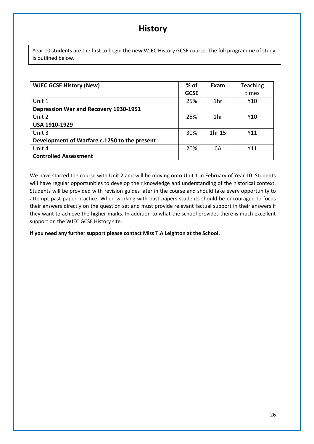## **History**

Year 10 students are the first to begin the **new** WJEC History GCSE course. The full programme of study is outlined below.

| <b>WJEC GCSE History (New)</b>               | % of        | Exam   | <b>Teaching</b> |
|----------------------------------------------|-------------|--------|-----------------|
|                                              | <b>GCSE</b> |        | times           |
| Unit 1                                       | 25%         | 1hr    | Y10             |
| Depression War and Recovery 1930-1951        |             |        |                 |
| Unit 2                                       | 25%         | 1hr    | Y10             |
| <b>USA 1910-1929</b>                         |             |        |                 |
| Unit 3                                       | 30%         | 1hr 15 | Y11             |
| Development of Warfare c.1250 to the present |             |        |                 |
| Unit 4                                       | 20%         | СA     | Y11             |
| <b>Controlled Assessment</b>                 |             |        |                 |

We have started the course with Unit 2 and will be moving onto Unit 1 in February of Year 10. Students will have regular opportunities to develop their knowledge and understanding of the historical context. Students will be provided with revision guides later in the course and should take every opportunity to attempt past paper practice. When working with past papers students should be encouraged to focus their answers directly on the question set and must provide relevant factual support in their answers if they want to achieve the higher marks. In addition to what the school provides there is much excellent support on the WJEC GCSE History site.

**If you need any further support please contact Miss T.A Leighton at the School.**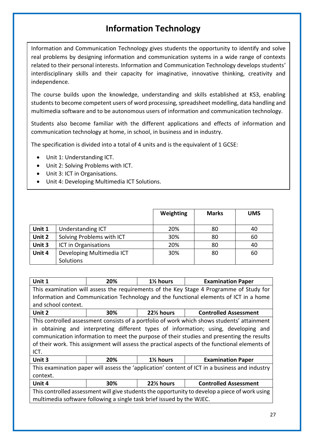# **Information Technology**

Information and Communication Technology gives students the opportunity to identify and solve real problems by designing information and communication systems in a wide range of contexts related to their personal interests. Information and Communication Technology develops students' interdisciplinary skills and their capacity for imaginative, innovative thinking, creativity and independence.

The course builds upon the knowledge, understanding and skills established at KS3, enabling students to become competent users of word processing, spreadsheet modelling, data handling and multimedia software and to be autonomous users of information and communication technology.

Students also become familiar with the different applications and effects of information and communication technology at home, in school, in business and in industry.

The specification is divided into a total of 4 units and is the equivalent of 1 GCSE:

- Unit 1: Understanding ICT.
- Unit 2: Solving Problems with ICT.
- Unit 3: ICT in Organisations.
- Unit 4: Developing Multimedia ICT Solutions.

|        |                           | Weighting | <b>Marks</b> | <b>UMS</b> |
|--------|---------------------------|-----------|--------------|------------|
| Unit 1 | Understanding ICT         | 20%       | 80           | 40         |
| Unit 2 | Solving Problems with ICT | 30%       | 80           | 60         |
| Unit 3 | ICT in Organisations      | 20%       | 80           | 40         |
| Unit 4 | Developing Multimedia ICT | 30%       | 80           | 60         |
|        | Solutions                 |           |              |            |

| Unit 1                                                                                         | 20%                                                                                   | 1% hours | <b>Examination Paper</b>                                                                       |  |  |
|------------------------------------------------------------------------------------------------|---------------------------------------------------------------------------------------|----------|------------------------------------------------------------------------------------------------|--|--|
| This examination will assess the requirements of the Key Stage 4 Programme of Study for        |                                                                                       |          |                                                                                                |  |  |
|                                                                                                | Information and Communication Technology and the functional elements of ICT in a home |          |                                                                                                |  |  |
| and school context.                                                                            |                                                                                       |          |                                                                                                |  |  |
| Unit 2                                                                                         | <b>Controlled Assessment</b><br>30%<br>22% hours                                      |          |                                                                                                |  |  |
|                                                                                                |                                                                                       |          | This controlled assessment consists of a portfolio of work which shows students' attainment    |  |  |
|                                                                                                |                                                                                       |          | in obtaining and interpreting different types of information; using, developing and            |  |  |
|                                                                                                |                                                                                       |          | communication information to meet the purpose of their studies and presenting the results      |  |  |
|                                                                                                |                                                                                       |          | of their work. This assignment will assess the practical aspects of the functional elements of |  |  |
| ICT.                                                                                           |                                                                                       |          |                                                                                                |  |  |
| Unit 3<br>20%<br>1% hours<br><b>Examination Paper</b>                                          |                                                                                       |          |                                                                                                |  |  |
| This examination paper will assess the 'application' content of ICT in a business and industry |                                                                                       |          |                                                                                                |  |  |
| context.                                                                                       |                                                                                       |          |                                                                                                |  |  |
| 22% hours<br><b>Controlled Assessment</b><br>Unit 4<br>30%                                     |                                                                                       |          |                                                                                                |  |  |
| This controlled assessment will give students the opportunity to develop a piece of work using |                                                                                       |          |                                                                                                |  |  |
| multimedia software following a single task brief issued by the WJEC.                          |                                                                                       |          |                                                                                                |  |  |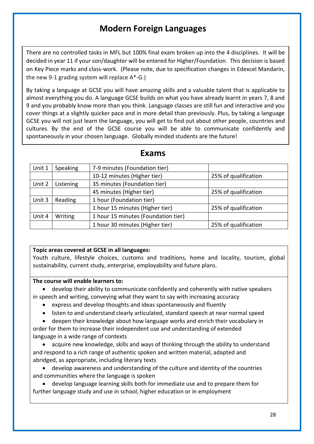# **Modern Foreign Languages**

There are no controlled tasks in MFL but 100% final exam broken up into the 4 disciplines. It will be decided in year 11 if your son/daughter will be entered for Higher/Foundation. This decision is based on Key Piece marks and class-work. (Please note, due to specification changes in Edexcel Mandarin, the new 9-1 grading system will replace A\*-G.)

By taking a language at GCSE you will have amazing skills and a valuable talent that is applicable to almost everything you do. A language GCSE builds on what you have already learnt in years 7, 8 and 9 and you probably know more than you think. Language classes are still fun and interactive and you cover things at a slightly quicker pace and in more detail than previously. Plus, by taking a language GCSE you will not just learn the language, you will get to find out about other people, countries and cultures. By the end of the GCSE course you will be able to communicate confidently and spontaneously in your chosen language. Globally minded students are the future!

| Unit 1 | Speaking  | 7-9 minutes (Foundation tier)       |                      |
|--------|-----------|-------------------------------------|----------------------|
|        |           | 10-12 minutes (Higher tier)         | 25% of qualification |
| Unit 2 | Listening | 35 minutes (Foundation tier)        |                      |
|        |           | 45 minutes (Higher tier)            | 25% of qualification |
| Unit 3 | Reading   | 1 hour (Foundation tier)            |                      |
|        |           | 1 hour 15 minutes (Higher tier)     | 25% of qualification |
| Unit 4 | Writing   | 1 hour 15 minutes (Foundation tier) |                      |
|        |           | 1 hour 30 minutes (Higher tier)     | 25% of qualification |

### **Exams**

### **Topic areas covered at GCSE in all languages:**

Youth culture, lifestyle choices, customs and traditions, home and locality, tourism, global sustainability, current study, enterprise, employability and future plans.

### **The course will enable learners to:**

- develop their ability to communicate confidently and coherently with native speakers in speech and writing, conveying what they want to say with increasing accuracy
	- express and develop thoughts and ideas spontaneously and fluently
	- listen to and understand clearly articulated, standard speech at near normal speed
	- deepen their knowledge about how language works and enrich their vocabulary in

order for them to increase their independent use and understanding of extended language in a wide range of contexts

• acquire new knowledge, skills and ways of thinking through the ability to understand and respond to a rich range of authentic spoken and written material, adapted and abridged, as appropriate, including literary texts

• develop awareness and understanding of the culture and identity of the countries and communities where the language is spoken

• develop language learning skills both for immediate use and to prepare them for further language study and use in school, higher education or in employment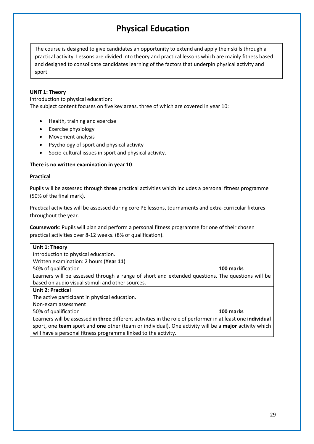# **Physical Education**

The course is designed to give candidates an opportunity to extend and apply their skills through a practical activity. Lessons are divided into theory and practical lessons which are mainly fitness based and designed to consolidate candidates learning of the factors that underpin physical activity and sport.

#### **UNIT 1: Theory**

Introduction to physical education: The subject content focuses on five key areas, three of which are covered in year 10:

- Health, training and exercise
- Exercise physiology
- Movement analysis
- Psychology of sport and physical activity
- Socio-cultural issues in sport and physical activity.

#### **There is no written examination in year 10**.

#### **Practical**

Pupils will be assessed through **three** practical activities which includes a personal fitness programme (50% of the final mark).

Practical activities will be assessed during core PE lessons, tournaments and extra-curricular fixtures throughout the year.

**Coursework**: Pupils will plan and perform a personal fitness programme for one of their chosen practical activities over 8-12 weeks. (8% of qualification).

| Unit 1: Theory                                                                                                            |           |
|---------------------------------------------------------------------------------------------------------------------------|-----------|
| Introduction to physical education.                                                                                       |           |
| Written examination: 2 hours (Year 11)                                                                                    |           |
| 50% of qualification                                                                                                      | 100 marks |
| Learners will be assessed through a range of short and extended questions. The questions will be                          |           |
| based on audio visual stimuli and other sources.                                                                          |           |
| <b>Unit 2: Practical</b>                                                                                                  |           |
| The active participant in physical education.                                                                             |           |
| Non-exam assessment                                                                                                       |           |
| 50% of qualification                                                                                                      | 100 marks |
| Learners will be assessed in <b>three</b> different activities in the role of performer in at least one <b>individual</b> |           |

Learners will be assessed in **three** different activities in the role of performer in at least one **individual** sport, one **team** sport and **one** other (team or individual). One activity will be a **major** activity which will have a personal fitness programme linked to the activity.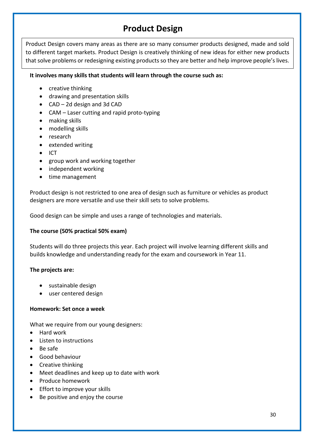# **Product Design**

Product Design covers many areas as there are so many consumer products designed, made and sold to different target markets. Product Design is creatively thinking of new ideas for either new products that solve problems or redesigning existing products so they are better and help improve people's lives.

### **It involves many skills that students will learn through the course such as:**

- creative thinking
- drawing and presentation skills
- CAD 2d design and 3d CAD
- CAM Laser cutting and rapid proto-typing
- making skills
- modelling skills
- research
- extended writing
- ICT
- group work and working together
- independent working
- time management

Product design is not restricted to one area of design such as furniture or vehicles as product designers are more versatile and use their skill sets to solve problems.

Good design can be simple and uses a range of technologies and materials.

### **The course (50% practical 50% exam)**

Students will do three projects this year. Each project will involve learning different skills and builds knowledge and understanding ready for the exam and coursework in Year 11.

### **The projects are:**

- sustainable design
- user centered design

### **Homework: Set once a week**

What we require from our young designers:

- Hard work
- Listen to instructions
- Be safe
- Good behaviour
- Creative thinking
- Meet deadlines and keep up to date with work
- Produce homework
- Effort to improve your skills
- Be positive and enjoy the course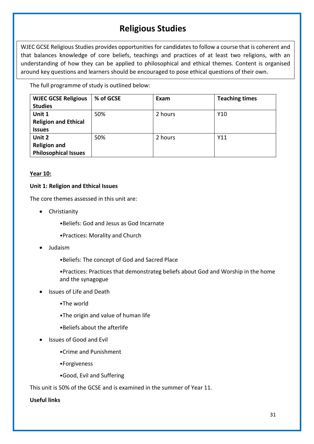# **Religious Studies**

WJEC GCSE Religious Studies provides opportunities for candidates to follow a course that is coherent and that balances knowledge of core beliefs, teachings and practices of at least two religions, with an understanding of how they can be applied to philosophical and ethical themes. Content is organised around key questions and learners should be encouraged to pose ethical questions of their own.

The full programme of study is outlined below:

| <b>WJEC GCSE Religious</b>  | % of GCSE | Exam    | <b>Teaching times</b> |
|-----------------------------|-----------|---------|-----------------------|
| <b>Studies</b>              |           |         |                       |
| Unit 1                      | 50%       | 2 hours | Y10                   |
| <b>Religion and Ethical</b> |           |         |                       |
| <b>Issues</b>               |           |         |                       |
| Unit 2                      | 50%       | 2 hours | Y11                   |
| <b>Religion and</b>         |           |         |                       |
| <b>Philosophical Issues</b> |           |         |                       |

### **Year 10:**

### **Unit 1: Religion and Ethical Issues**

The core themes assessed in this unit are:

- Christianity
	- •Beliefs: God and Jesus as God Incarnate
	- •Practices: Morality and Church
- Judaism
	- •Beliefs: The concept of God and Sacred Place
	- •Practices: Practices that demonstrateg beliefs about God and Worship in the home and the synagogue
- Issues of Life and Death
	- •The world
	- •The origin and value of human life
	- •Beliefs about the afterlife
- Issues of Good and Evil
	- •Crime and Punishment
	- •Forgiveness
	- •Good, Evil and Suffering

This unit is 50% of the GCSE and is examined in the summer of Year 11.

### **Useful links**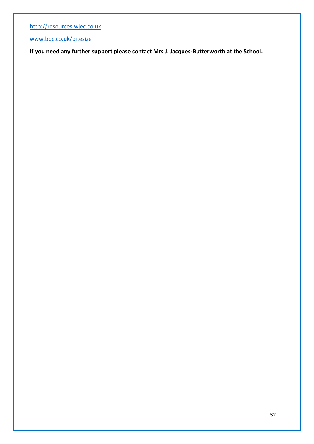[http://resources.wjec.co.uk](http://resources.wjec.co.uk/)

[www.bbc.co.uk/bitesize](http://www.bbc.co.uk/bitesize)

**If you need any further support please contact Mrs J. Jacques-Butterworth at the School.**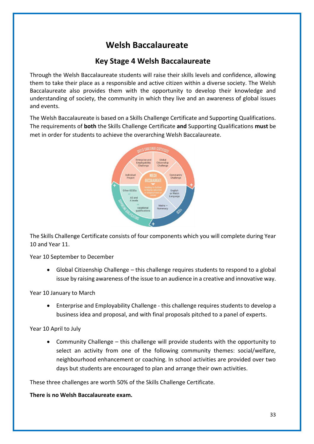# **Welsh Baccalaureate**

### **Key Stage 4 Welsh Baccalaureate**

Through the Welsh Baccalaureate students will raise their skills levels and confidence, allowing them to take their place as a responsible and active citizen within a diverse society. The Welsh Baccalaureate also provides them with the opportunity to develop their knowledge and understanding of society, the community in which they live and an awareness of global issues and events.

The Welsh Baccalaureate is based on a Skills Challenge Certificate and Supporting Qualifications. The requirements of **both** the Skills Challenge Certificate **and** Supporting Qualifications **must** be met in order for students to achieve the overarching Welsh Baccalaureate.



The Skills Challenge Certificate consists of four components which you will complete during Year 10 and Year 11.

Year 10 September to December

• Global Citizenship Challenge – this challenge requires students to respond to a global issue by raising awareness of the issue to an audience in a creative and innovative way.

Year 10 January to March

• Enterprise and Employability Challenge - this challenge requires students to develop a business idea and proposal, and with final proposals pitched to a panel of experts.

Year 10 April to July

• Community Challenge – this challenge will provide students with the opportunity to select an activity from one of the following community themes: social/welfare, neighbourhood enhancement or coaching. In school activities are provided over two days but students are encouraged to plan and arrange their own activities.

These three challenges are worth 50% of the Skills Challenge Certificate.

**There is no Welsh Baccalaureate exam.**